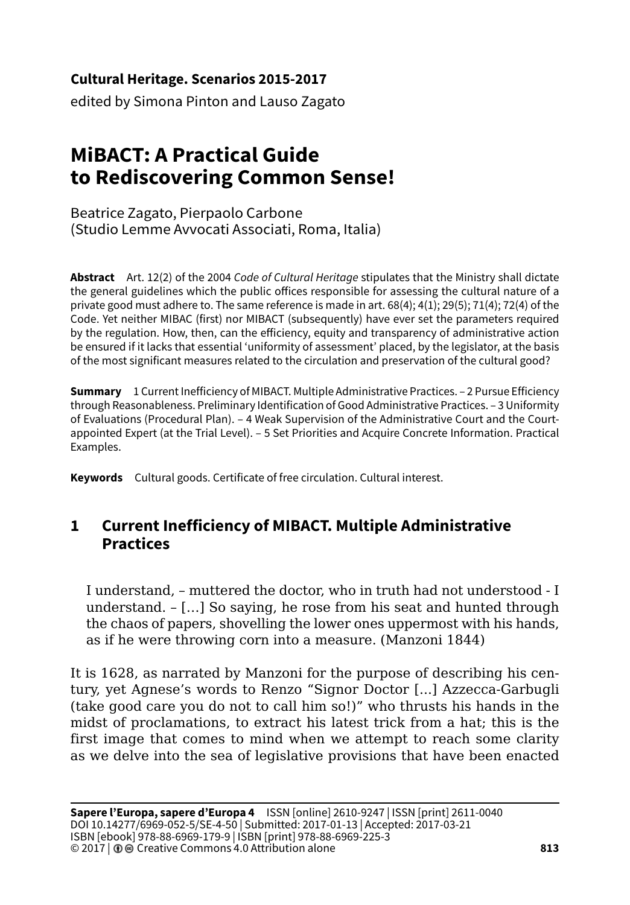#### **Cultural Heritage. Scenarios 2015-2017**

edited by Simona Pinton and Lauso Zagato

# **MiBACT: A Practical Guide to Rediscovering Common Sense!**

Beatrice Zagato, Pierpaolo Carbone (Studio Lemme Avvocati Associati, Roma, Italia)

**Abstract** Art. 12(2) of the 2004 *Code of Cultural Heritage* stipulates that the Ministry shall dictate the general guidelines which the public offices responsible for assessing the cultural nature of a private good must adhere to. The same reference is made in art. 68(4); 4(1); 29(5); 71(4); 72(4) of the Code. Yet neither MIBAC (first) nor MIBACT (subsequently) have ever set the parameters required by the regulation. How, then, can the efficiency, equity and transparency of administrative action be ensured if it lacks that essential 'uniformity of assessment' placed, by the legislator, at the basis of the most significant measures related to the circulation and preservation of the cultural good?

**Summary** 1 Current Inefficiency of MIBACT. Multiple Administrative Practices. – 2 Pursue Efficiency through Reasonableness. Preliminary Identification of Good Administrative Practices. – 3 Uniformity of Evaluations (Procedural Plan). – 4 Weak Supervision of the Administrative Court and the Courtappointed Expert (at the Trial Level). – 5 Set Priorities and Acquire Concrete Information. Practical Examples.

**Keywords** Cultural goods. Certificate of free circulation. Cultural interest.

## **1 Current Inefficiency of MIBACT. Multiple Administrative Practices**

I understand, – muttered the doctor, who in truth had not understood - I understand. – […] So saying, he rose from his seat and hunted through the chaos of papers, shovelling the lower ones uppermost with his hands, as if he were throwing corn into a measure. (Manzoni 1844)

It is 1628, as narrated by Manzoni for the purpose of describing his century, yet Agnese's words to Renzo "Signor Doctor [...] Azzecca-Garbugli (take good care you do not to call him so!)" who thrusts his hands in the midst of proclamations, to extract his latest trick from a hat; this is the first image that comes to mind when we attempt to reach some clarity as we delve into the sea of legislative provisions that have been enacted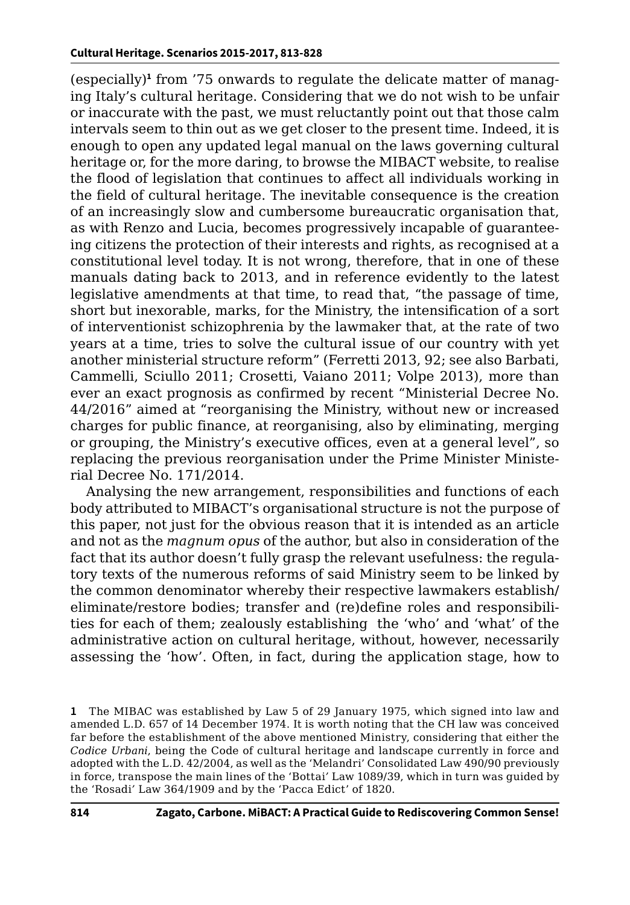(especially)**<sup>1</sup>** from '75 onwards to regulate the delicate matter of managing Italy's cultural heritage. Considering that we do not wish to be unfair or inaccurate with the past, we must reluctantly point out that those calm intervals seem to thin out as we get closer to the present time. Indeed, it is enough to open any updated legal manual on the laws governing cultural heritage or, for the more daring, to browse the MIBACT website, to realise the flood of legislation that continues to affect all individuals working in the field of cultural heritage. The inevitable consequence is the creation of an increasingly slow and cumbersome bureaucratic organisation that, as with Renzo and Lucia, becomes progressively incapable of guaranteeing citizens the protection of their interests and rights, as recognised at a constitutional level today. It is not wrong, therefore, that in one of these manuals dating back to 2013, and in reference evidently to the latest legislative amendments at that time, to read that, "the passage of time, short but inexorable, marks, for the Ministry, the intensification of a sort of interventionist schizophrenia by the lawmaker that, at the rate of two years at a time, tries to solve the cultural issue of our country with yet another ministerial structure reform" (Ferretti 2013, 92; see also Barbati, Cammelli, Sciullo 2011; Crosetti, Vaiano 2011; Volpe 2013), more than ever an exact prognosis as confirmed by recent "Ministerial Decree No. 44/2016" aimed at "reorganising the Ministry, without new or increased charges for public finance, at reorganising, also by eliminating, merging or grouping, the Ministry's executive offices, even at a general level", so replacing the previous reorganisation under the Prime Minister Ministerial Decree No. 171/2014.

Analysing the new arrangement, responsibilities and functions of each body attributed to MIBACT's organisational structure is not the purpose of this paper, not just for the obvious reason that it is intended as an article and not as the *magnum opus* of the author, but also in consideration of the fact that its author doesn't fully grasp the relevant usefulness: the regulatory texts of the numerous reforms of said Ministry seem to be linked by the common denominator whereby their respective lawmakers establish/ eliminate/restore bodies; transfer and (re)define roles and responsibilities for each of them; zealously establishing the 'who' and 'what' of the administrative action on cultural heritage, without, however, necessarily assessing the 'how'. Often, in fact, during the application stage, how to

**<sup>1</sup>** The MIBAC was established by Law 5 of 29 January 1975, which signed into law and amended L.D. 657 of 14 December 1974. It is worth noting that the CH law was conceived far before the establishment of the above mentioned Ministry, considering that either the *Codice Urbani*, being the Code of cultural heritage and landscape currently in force and adopted with the L.D. 42/2004, as well as the 'Melandri' Consolidated Law 490/90 previously in force, transpose the main lines of the 'Bottai*'* Law 1089/39, which in turn was guided by the 'Rosadi*'* Law 364/1909 and by the 'Pacca Edict' of 1820.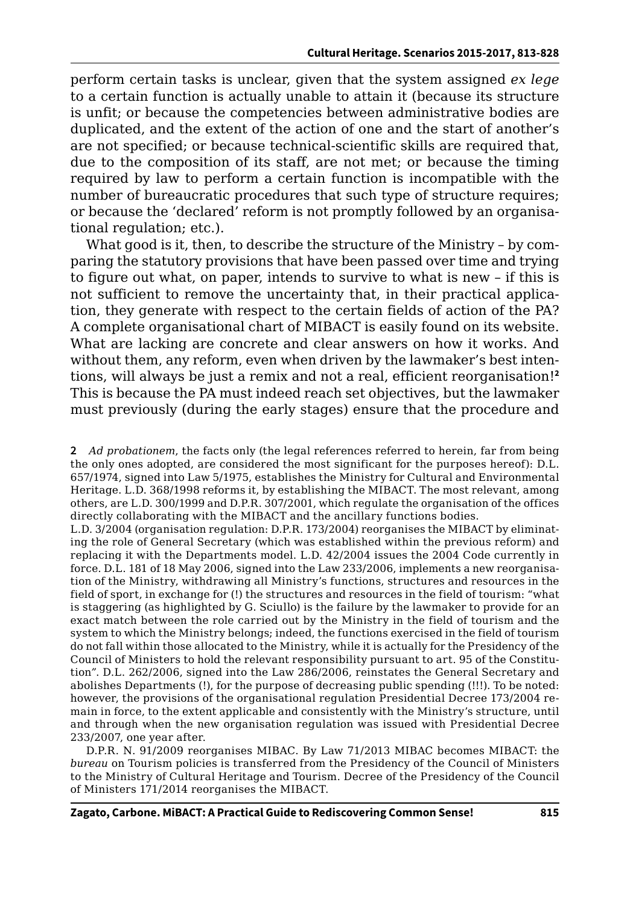perform certain tasks is unclear, given that the system assigned *ex lege* to a certain function is actually unable to attain it (because its structure is unfit; or because the competencies between administrative bodies are duplicated, and the extent of the action of one and the start of another's are not specified; or because technical-scientific skills are required that, due to the composition of its staff, are not met; or because the timing required by law to perform a certain function is incompatible with the number of bureaucratic procedures that such type of structure requires; or because the 'declared' reform is not promptly followed by an organisational regulation; etc.).

What good is it, then, to describe the structure of the Ministry – by comparing the statutory provisions that have been passed over time and trying to figure out what, on paper, intends to survive to what is new – if this is not sufficient to remove the uncertainty that, in their practical application, they generate with respect to the certain fields of action of the PA? A complete organisational chart of MIBACT is easily found on its website. What are lacking are concrete and clear answers on how it works. And without them, any reform, even when driven by the lawmaker's best intentions, will always be just a remix and not a real, efficient reorganisation!**<sup>2</sup>** This is because the PA must indeed reach set objectives, but the lawmaker must previously (during the early stages) ensure that the procedure and

L.D. 3/2004 (organisation regulation: D.P.R. 173/2004) reorganises the MIBACT by eliminating the role of General Secretary (which was established within the previous reform) and replacing it with the Departments model. L.D. 42/2004 issues the 2004 Code currently in force. D.L. 181 of 18 May 2006, signed into the Law 233/2006, implements a new reorganisation of the Ministry, withdrawing all Ministry's functions, structures and resources in the field of sport, in exchange for (!) the structures and resources in the field of tourism: "what is staggering (as highlighted by G. Sciullo) is the failure by the lawmaker to provide for an exact match between the role carried out by the Ministry in the field of tourism and the system to which the Ministry belongs; indeed, the functions exercised in the field of tourism do not fall within those allocated to the Ministry, while it is actually for the Presidency of the Council of Ministers to hold the relevant responsibility pursuant to art. 95 of the Constitution*"*. D.L. 262/2006, signed into the Law 286/2006, reinstates the General Secretary and abolishes Departments (!), for the purpose of decreasing public spending (!!!). To be noted: however, the provisions of the organisational regulation Presidential Decree 173/2004 remain in force, to the extent applicable and consistently with the Ministry's structure, until and through when the new organisation regulation was issued with Presidential Decree 233/2007, one year after.

D.P.R. N. 91/2009 reorganises MIBAC. By Law 71/2013 MIBAC becomes MIBACT: the *bureau* on Tourism policies is transferred from the Presidency of the Council of Ministers to the Ministry of Cultural Heritage and Tourism. Decree of the Presidency of the Council of Ministers 171/2014 reorganises the MIBACT.

**<sup>2</sup>** *Ad probationem*, the facts only (the legal references referred to herein, far from being the only ones adopted, are considered the most significant for the purposes hereof): D.L. 657/1974, signed into Law 5/1975, establishes the Ministry for Cultural and Environmental Heritage. L.D. 368/1998 reforms it, by establishing the MIBACT. The most relevant, among others, are L.D. 300/1999 and D.P.R. 307/2001, which regulate the organisation of the offices directly collaborating with the MIBACT and the ancillary functions bodies.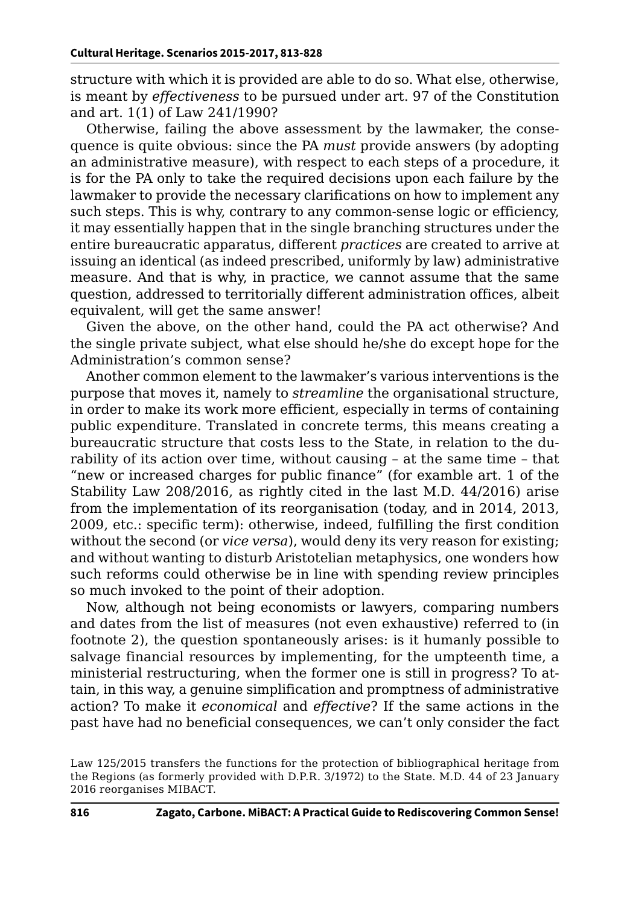structure with which it is provided are able to do so. What else, otherwise, is meant by *effectiveness* to be pursued under art. 97 of the Constitution and art. 1(1) of Law 241/1990?

Otherwise, failing the above assessment by the lawmaker, the consequence is quite obvious: since the PA *must* provide answers (by adopting an administrative measure), with respect to each steps of a procedure, it is for the PA only to take the required decisions upon each failure by the lawmaker to provide the necessary clarifications on how to implement any such steps. This is why, contrary to any common-sense logic or efficiency, it may essentially happen that in the single branching structures under the entire bureaucratic apparatus, different *practices* are created to arrive at issuing an identical (as indeed prescribed, uniformly by law) administrative measure. And that is why, in practice, we cannot assume that the same question, addressed to territorially different administration offices, albeit equivalent, will get the same answer!

Given the above, on the other hand, could the PA act otherwise? And the single private subject, what else should he/she do except hope for the Administration's common sense?

Another common element to the lawmaker's various interventions is the purpose that moves it, namely to *streamline* the organisational structure, in order to make its work more efficient, especially in terms of containing public expenditure. Translated in concrete terms, this means creating a bureaucratic structure that costs less to the State, in relation to the durability of its action over time, without causing – at the same time – that "new or increased charges for public finance" (for examble art. 1 of the Stability Law 208/2016, as rightly cited in the last M.D. 44/2016) arise from the implementation of its reorganisation (today, and in 2014, 2013, 2009, etc.: specific term): otherwise, indeed, fulfilling the first condition without the second (or *vice versa*), would deny its very reason for existing; and without wanting to disturb Aristotelian metaphysics, one wonders how such reforms could otherwise be in line with spending review principles so much invoked to the point of their adoption.

Now, although not being economists or lawyers, comparing numbers and dates from the list of measures (not even exhaustive) referred to (in footnote 2), the question spontaneously arises: is it humanly possible to salvage financial resources by implementing, for the umpteenth time, a ministerial restructuring, when the former one is still in progress? To attain, in this way, a genuine simplification and promptness of administrative action? To make it *economical* and *effective*? If the same actions in the past have had no beneficial consequences, we can't only consider the fact

Law 125/2015 transfers the functions for the protection of bibliographical heritage from the Regions (as formerly provided with D.P.R. 3/1972) to the State. M.D. 44 of 23 January 2016 reorganises MIBACT*.*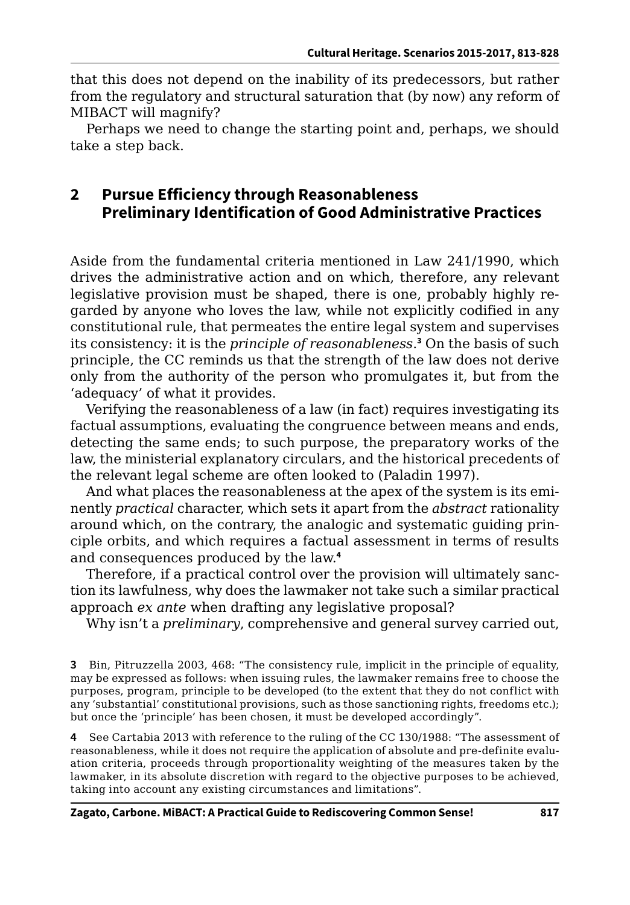that this does not depend on the inability of its predecessors, but rather from the regulatory and structural saturation that (by now) any reform of MIBACT will magnify?

Perhaps we need to change the starting point and, perhaps, we should take a step back.

## **2 Pursue Efficiency through Reasonableness Preliminary Identification of Good Administrative Practices**

Aside from the fundamental criteria mentioned in Law 241/1990, which drives the administrative action and on which, therefore, any relevant legislative provision must be shaped, there is one, probably highly regarded by anyone who loves the law, while not explicitly codified in any constitutional rule, that permeates the entire legal system and supervises its consistency: it is the *principle of reasonableness*. **3** On the basis of such principle, the CC reminds us that the strength of the law does not derive only from the authority of the person who promulgates it, but from the 'adequacy' of what it provides.

Verifying the reasonableness of a law (in fact) requires investigating its factual assumptions, evaluating the congruence between means and ends, detecting the same ends; to such purpose, the preparatory works of the law, the ministerial explanatory circulars, and the historical precedents of the relevant legal scheme are often looked to (Paladin 1997).

And what places the reasonableness at the apex of the system is its eminently *practical* character, which sets it apart from the *abstract* rationality around which, on the contrary, the analogic and systematic guiding principle orbits, and which requires a factual assessment in terms of results and consequences produced by the law.**<sup>4</sup>**

Therefore, if a practical control over the provision will ultimately sanction its lawfulness, why does the lawmaker not take such a similar practical approach *ex ante* when drafting any legislative proposal?

Why isn't a *preliminary*, comprehensive and general survey carried out,

**4** See Cartabia 2013 with reference to the ruling of the CC 130/1988: "The assessment of reasonableness, while it does not require the application of absolute and pre-definite evaluation criteria, proceeds through proportionality weighting of the measures taken by the lawmaker, in its absolute discretion with regard to the objective purposes to be achieved, taking into account any existing circumstances and limitations".

**<sup>3</sup>** Bin, Pitruzzella 2003, 468: "The consistency rule, implicit in the principle of equality, may be expressed as follows: when issuing rules, the lawmaker remains free to choose the purposes, program, principle to be developed (to the extent that they do not conflict with any 'substantial' constitutional provisions, such as those sanctioning rights, freedoms etc.); but once the 'principle' has been chosen, it must be developed accordingly".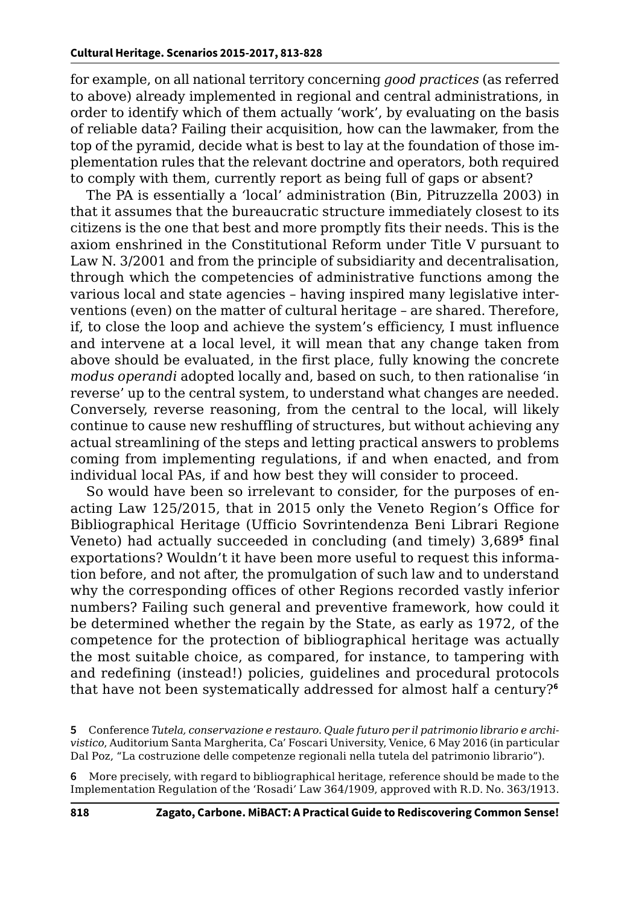for example, on all national territory concerning *good practices* (as referred to above) already implemented in regional and central administrations, in order to identify which of them actually 'work', by evaluating on the basis of reliable data? Failing their acquisition, how can the lawmaker, from the top of the pyramid, decide what is best to lay at the foundation of those implementation rules that the relevant doctrine and operators, both required to comply with them, currently report as being full of gaps or absent?

The PA is essentially a *'*local' administration (Bin, Pitruzzella 2003) in that it assumes that the bureaucratic structure immediately closest to its citizens is the one that best and more promptly fits their needs. This is the axiom enshrined in the Constitutional Reform under Title V pursuant to Law N. 3/2001 and from the principle of subsidiarity and decentralisation, through which the competencies of administrative functions among the various local and state agencies – having inspired many legislative interventions (even) on the matter of cultural heritage – are shared. Therefore, if, to close the loop and achieve the system's efficiency, I must influence and intervene at a local level, it will mean that any change taken from above should be evaluated, in the first place, fully knowing the concrete *modus operandi* adopted locally and, based on such, to then rationalise 'in reverse' up to the central system, to understand what changes are needed. Conversely, reverse reasoning, from the central to the local, will likely continue to cause new reshuffling of structures, but without achieving any actual streamlining of the steps and letting practical answers to problems coming from implementing regulations, if and when enacted, and from individual local PAs, if and how best they will consider to proceed.

So would have been so irrelevant to consider, for the purposes of enacting Law 125/2015, that in 2015 only the Veneto Region's Office for Bibliographical Heritage (Ufficio Sovrintendenza Beni Librari Regione Veneto) had actually succeeded in concluding (and timely) 3,689**<sup>5</sup>** final exportations? Wouldn't it have been more useful to request this information before, and not after, the promulgation of such law and to understand why the corresponding offices of other Regions recorded vastly inferior numbers? Failing such general and preventive framework, how could it be determined whether the regain by the State, as early as 1972, of the competence for the protection of bibliographical heritage was actually the most suitable choice, as compared, for instance, to tampering with and redefining (instead!) policies, guidelines and procedural protocols that have not been systematically addressed for almost half a century?**<sup>6</sup>**

- **5** Conference *Tutela, conservazione e restauro. Quale futuro per il patrimonio librario e archivistico*, Auditorium Santa Margherita, Ca' Foscari University, Venice, 6 May 2016 (in particular Dal Poz, "La costruzione delle competenze regionali nella tutela del patrimonio librario").
- **6** More precisely, with regard to bibliographical heritage, reference should be made to the Implementation Regulation of the 'Rosadi*'* Law 364/1909, approved with R.D. No. 363/1913.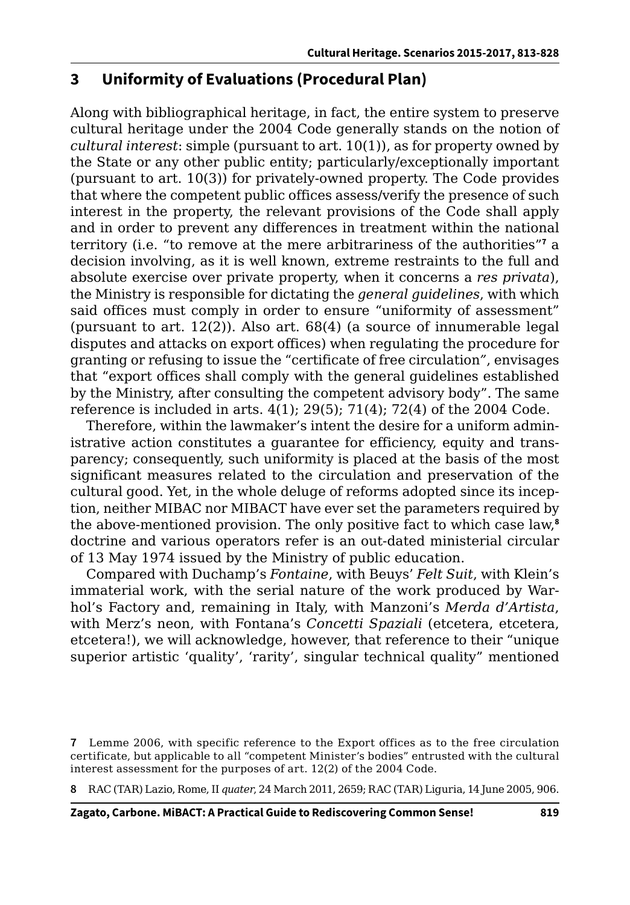## **3 Uniformity of Evaluations (Procedural Plan)**

Along with bibliographical heritage, in fact, the entire system to preserve cultural heritage under the 2004 Code generally stands on the notion of *cultural interest*: simple (pursuant to art. 10(1)), as for property owned by the State or any other public entity; particularly/exceptionally important (pursuant to art. 10(3)) for privately-owned property. The Code provides that where the competent public offices assess/verify the presence of such interest in the property, the relevant provisions of the Code shall apply and in order to prevent any differences in treatment within the national territory (i.e. "to remove at the mere arbitrariness of the authorities"**<sup>7</sup>** a decision involving, as it is well known, extreme restraints to the full and absolute exercise over private property, when it concerns a *res privata*), the Ministry is responsible for dictating the *general guidelines*, with which said offices must comply in order to ensure "uniformity of assessment" (pursuant to art.  $12(2)$ ). Also art.  $68(4)$  (a source of innumerable legal disputes and attacks on export offices) when regulating the procedure for granting or refusing to issue the "certificate of free circulation*"*, envisages that "export offices shall comply with the general guidelines established by the Ministry, after consulting the competent advisory body". The same reference is included in arts. 4(1); 29(5); 71(4); 72(4) of the 2004 Code.

Therefore, within the lawmaker's intent the desire for a uniform administrative action constitutes a guarantee for efficiency, equity and transparency; consequently, such uniformity is placed at the basis of the most significant measures related to the circulation and preservation of the cultural good. Yet, in the whole deluge of reforms adopted since its inception, neither MIBAC nor MIBACT have ever set the parameters required by the above-mentioned provision. The only positive fact to which case law,**<sup>8</sup>** doctrine and various operators refer is an out-dated ministerial circular of 13 May 1974 issued by the Ministry of public education.

Compared with Duchamp's *Fontaine*, with Beuys' *Felt Suit*, with Klein's immaterial work, with the serial nature of the work produced by Warhol's Factory and, remaining in Italy, with Manzoni's *Merda d'Artista*, with Merz's neon, with Fontana's *Concetti Spaziali* (etcetera, etcetera, etcetera!), we will acknowledge, however, that reference to their "unique superior artistic 'quality', 'rarity', singular technical quality" mentioned

**8** RAC (TAR) Lazio, Rome, II *quater*, 24 March 2011, 2659; RAC (TAR) Liguria, 14 June 2005, 906.

**<sup>7</sup>** Lemme 2006, with specific reference to the Export offices as to the free circulation certificate, but applicable to all "competent Minister's bodies" entrusted with the cultural interest assessment for the purposes of art. 12(2) of the 2004 Code.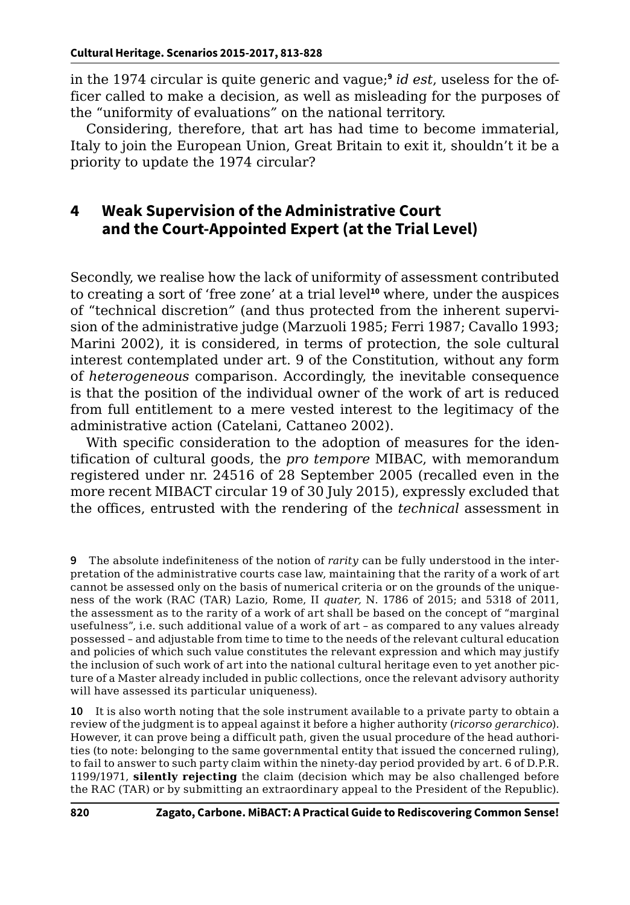in the 1974 circular is quite generic and vague;**<sup>9</sup>** *id est*, useless for the officer called to make a decision, as well as misleading for the purposes of the "uniformity of evaluations*"* on the national territory.

Considering, therefore, that art has had time to become immaterial, Italy to join the European Union, Great Britain to exit it, shouldn't it be a priority to update the 1974 circular?

## **4 Weak Supervision of the Administrative Court and the Court-Appointed Expert (at the Trial Level)**

Secondly, we realise how the lack of uniformity of assessment contributed to creating a sort of 'free zone' at a trial level**<sup>10</sup>** where, under the auspices of "technical discretion*"* (and thus protected from the inherent supervision of the administrative judge (Marzuoli 1985; Ferri 1987; Cavallo 1993; Marini 2002), it is considered, in terms of protection, the sole cultural interest contemplated under art. 9 of the Constitution, without any form of *heterogeneous* comparison. Accordingly, the inevitable consequence is that the position of the individual owner of the work of art is reduced from full entitlement to a mere vested interest to the legitimacy of the administrative action (Catelani, Cattaneo 2002).

With specific consideration to the adoption of measures for the identification of cultural goods, the *pro tempore* MIBAC, with memorandum registered under nr. 24516 of 28 September 2005 (recalled even in the more recent MIBACT circular 19 of 30 July 2015), expressly excluded that the offices, entrusted with the rendering of the *technical* assessment in

**10** It is also worth noting that the sole instrument available to a private party to obtain a review of the judgment is to appeal against it before a higher authority (*ricorso gerarchico*). However, it can prove being a difficult path, given the usual procedure of the head authorities (to note: belonging to the same governmental entity that issued the concerned ruling), to fail to answer to such party claim within the ninety-day period provided by art. 6 of D.P.R. 1199/1971, **silently rejecting** the claim (decision which may be also challenged before the RAC (TAR) or by submitting an extraordinary appeal to the President of the Republic).

**<sup>9</sup>** The absolute indefiniteness of the notion of *rarity* can be fully understood in the interpretation of the administrative courts case law, maintaining that the rarity of a work of art cannot be assessed only on the basis of numerical criteria or on the grounds of the uniqueness of the work (RAC (TAR) Lazio, Rome, II *quater,* N. 1786 of 2015; and 5318 of 2011, the assessment as to the rarity of a work of art shall be based on the concept of "marginal usefulness", i.e. such additional value of a work of art – as compared to any values already possessed – and adjustable from time to time to the needs of the relevant cultural education and policies of which such value constitutes the relevant expression and which may justify the inclusion of such work of art into the national cultural heritage even to yet another picture of a Master already included in public collections, once the relevant advisory authority will have assessed its particular uniqueness).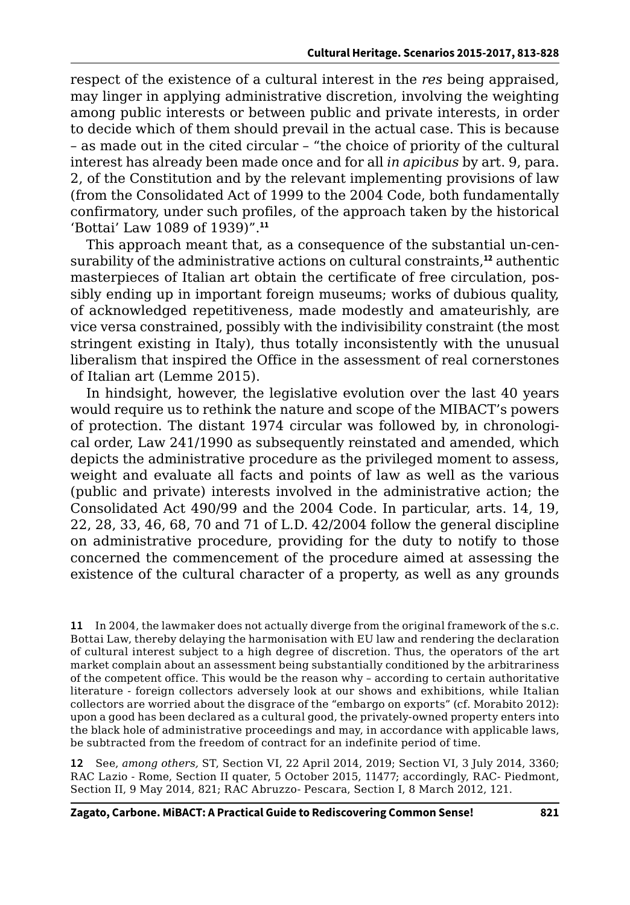respect of the existence of a cultural interest in the *res* being appraised, may linger in applying administrative discretion, involving the weighting among public interests or between public and private interests, in order to decide which of them should prevail in the actual case. This is because – as made out in the cited circular – "the choice of priority of the cultural interest has already been made once and for all *in apicibus* by art. 9, para. 2, of the Constitution and by the relevant implementing provisions of law (from the Consolidated Act of 1999 to the 2004 Code, both fundamentally confirmatory, under such profiles, of the approach taken by the historical 'Bottai' Law 1089 of 1939)".**<sup>11</sup>**

This approach meant that, as a consequence of the substantial un-censurability of the administrative actions on cultural constraints,**<sup>12</sup>** authentic masterpieces of Italian art obtain the certificate of free circulation, possibly ending up in important foreign museums; works of dubious quality, of acknowledged repetitiveness, made modestly and amateurishly, are vice versa constrained, possibly with the indivisibility constraint (the most stringent existing in Italy), thus totally inconsistently with the unusual liberalism that inspired the Office in the assessment of real cornerstones of Italian art (Lemme 2015).

In hindsight, however, the legislative evolution over the last 40 years would require us to rethink the nature and scope of the MIBACT's powers of protection. The distant 1974 circular was followed by, in chronological order, Law 241/1990 as subsequently reinstated and amended, which depicts the administrative procedure as the privileged moment to assess, weight and evaluate all facts and points of law as well as the various (public and private) interests involved in the administrative action; the Consolidated Act 490/99 and the 2004 Code. In particular, arts. 14, 19, 22, 28, 33, 46, 68, 70 and 71 of L.D. 42/2004 follow the general discipline on administrative procedure, providing for the duty to notify to those concerned the commencement of the procedure aimed at assessing the existence of the cultural character of a property, as well as any grounds

**11** In 2004, the lawmaker does not actually diverge from the original framework of the s.c. Bottai Law, thereby delaying the harmonisation with EU law and rendering the declaration of cultural interest subject to a high degree of discretion. Thus, the operators of the art market complain about an assessment being substantially conditioned by the arbitrariness of the competent office. This would be the reason why – according to certain authoritative literature - foreign collectors adversely look at our shows and exhibitions, while Italian collectors are worried about the disgrace of the "embargo on exports" (cf. Morabito 2012): upon a good has been declared as a cultural good, the privately-owned property enters into the black hole of administrative proceedings and may, in accordance with applicable laws, be subtracted from the freedom of contract for an indefinite period of time.

**12** See, *among others,* ST, Section VI, 22 April 2014, 2019; Section VI, 3 July 2014, 3360; RAC Lazio - Rome, Section II quater, 5 October 2015, 11477; accordingly, RAC- Piedmont, Section II, 9 May 2014, 821; RAC Abruzzo- Pescara, Section I, 8 March 2012, 121.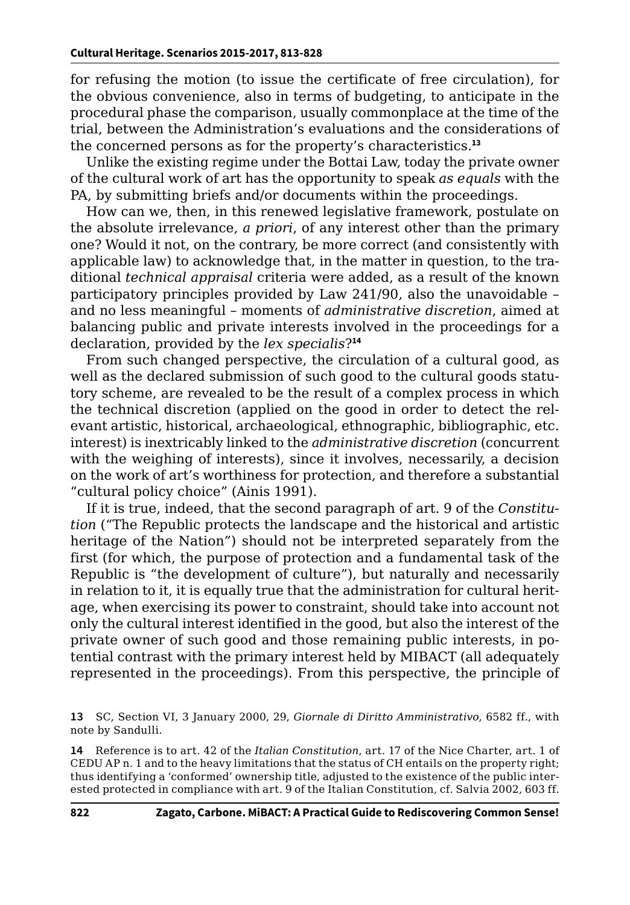for refusing the motion (to issue the certificate of free circulation), for the obvious convenience, also in terms of budgeting, to anticipate in the procedural phase the comparison, usually commonplace at the time of the trial, between the Administration's evaluations and the considerations of the concerned persons as for the property's characteristics.**<sup>13</sup>**

Unlike the existing regime under the Bottai Law, today the private owner of the cultural work of art has the opportunity to speak *as equals* with the PA, by submitting briefs and/or documents within the proceedings.

How can we, then, in this renewed legislative framework, postulate on the absolute irrelevance, *a priori*, of any interest other than the primary one? Would it not, on the contrary, be more correct (and consistently with applicable law) to acknowledge that, in the matter in question, to the traditional *technical appraisal* criteria were added, as a result of the known participatory principles provided by Law 241/90, also the unavoidable – and no less meaningful – moments of *administrative discretion*, aimed at balancing public and private interests involved in the proceedings for a declaration, provided by the *lex specialis*?**<sup>14</sup>**

From such changed perspective, the circulation of a cultural good, as well as the declared submission of such good to the cultural goods statutory scheme, are revealed to be the result of a complex process in which the technical discretion (applied on the good in order to detect the relevant artistic, historical, archaeological, ethnographic, bibliographic, etc. interest) is inextricably linked to the *administrative discretion* (concurrent with the weighing of interests), since it involves, necessarily, a decision on the work of art's worthiness for protection, and therefore a substantial "cultural policy choice" (Ainis 1991).

If it is true, indeed, that the second paragraph of art. 9 of the *Constitution* ("The Republic protects the landscape and the historical and artistic heritage of the Nation*"*) should not be interpreted separately from the first (for which, the purpose of protection and a fundamental task of the Republic is "the development of culture"), but naturally and necessarily in relation to it, it is equally true that the administration for cultural heritage, when exercising its power to constraint, should take into account not only the cultural interest identified in the good, but also the interest of the private owner of such good and those remaining public interests, in potential contrast with the primary interest held by MIBACT (all adequately represented in the proceedings). From this perspective, the principle of

**13** SC, Section VI, 3 January 2000, 29, *Giornale di Diritto Amministrativo*, 6582 ff., with note by Sandulli.

**14** Reference is to art. 42 of the *Italian Constitution*, art. 17 of the Nice Charter, art. 1 of CEDU AP n. 1 and to the heavy limitations that the status of CH entails on the property right; thus identifying a 'conformed' ownership title, adjusted to the existence of the public interested protected in compliance with art. 9 of the Italian Constitution, cf. Salvia 2002, 603 ff.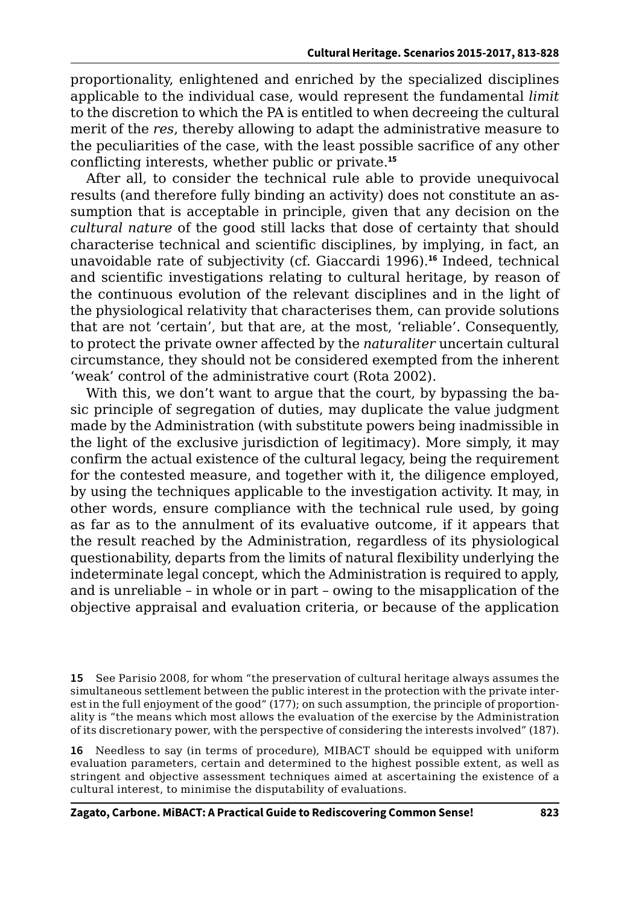proportionality, enlightened and enriched by the specialized disciplines applicable to the individual case, would represent the fundamental *limit* to the discretion to which the PA is entitled to when decreeing the cultural merit of the *res*, thereby allowing to adapt the administrative measure to the peculiarities of the case, with the least possible sacrifice of any other conflicting interests, whether public or private.**<sup>15</sup>**

After all, to consider the technical rule able to provide unequivocal results (and therefore fully binding an activity) does not constitute an assumption that is acceptable in principle, given that any decision on the *cultural nature* of the good still lacks that dose of certainty that should characterise technical and scientific disciplines, by implying, in fact, an unavoidable rate of subjectivity (cf. Giaccardi 1996).**<sup>16</sup>** Indeed, technical and scientific investigations relating to cultural heritage, by reason of the continuous evolution of the relevant disciplines and in the light of the physiological relativity that characterises them, can provide solutions that are not 'certain', but that are, at the most, 'reliable'. Consequently, to protect the private owner affected by the *naturaliter* uncertain cultural circumstance, they should not be considered exempted from the inherent 'weak' control of the administrative court (Rota 2002).

With this, we don't want to argue that the court, by bypassing the basic principle of segregation of duties, may duplicate the value judgment made by the Administration (with substitute powers being inadmissible in the light of the exclusive jurisdiction of legitimacy). More simply, it may confirm the actual existence of the cultural legacy, being the requirement for the contested measure, and together with it, the diligence employed, by using the techniques applicable to the investigation activity. It may, in other words, ensure compliance with the technical rule used, by going as far as to the annulment of its evaluative outcome, if it appears that the result reached by the Administration, regardless of its physiological questionability, departs from the limits of natural flexibility underlying the indeterminate legal concept, which the Administration is required to apply, and is unreliable – in whole or in part – owing to the misapplication of the objective appraisal and evaluation criteria, or because of the application

**16** Needless to say (in terms of procedure), MIBACT should be equipped with uniform evaluation parameters, certain and determined to the highest possible extent, as well as stringent and objective assessment techniques aimed at ascertaining the existence of a cultural interest, to minimise the disputability of evaluations.

**<sup>15</sup>** See Parisio 2008, for whom "the preservation of cultural heritage always assumes the simultaneous settlement between the public interest in the protection with the private interest in the full enjoyment of the good" (177); on such assumption, the principle of proportionality is "the means which most allows the evaluation of the exercise by the Administration of its discretionary power, with the perspective of considering the interests involved" (187).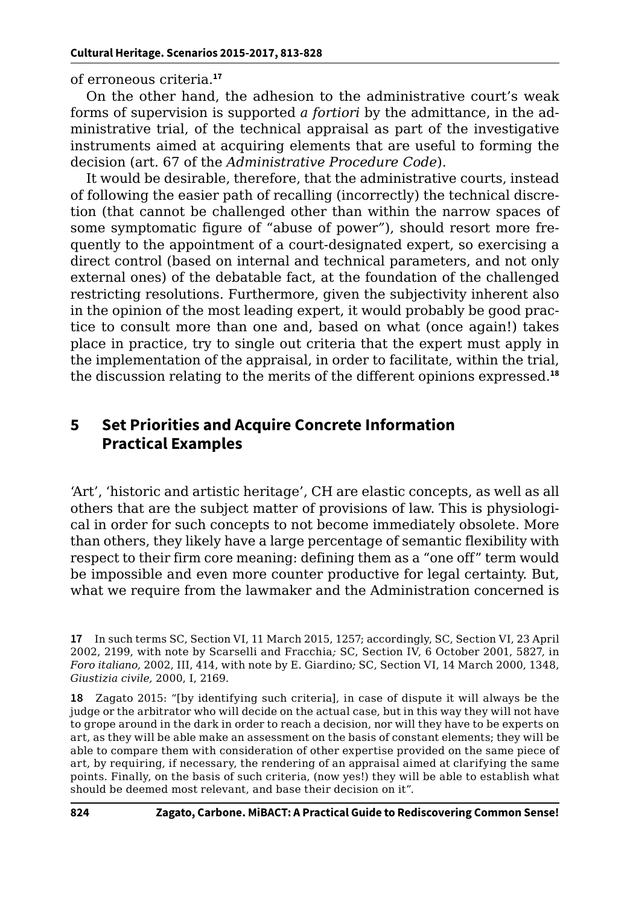of erroneous criteria.**<sup>17</sup>**

On the other hand, the adhesion to the administrative court's weak forms of supervision is supported *a fortiori* by the admittance, in the administrative trial, of the technical appraisal as part of the investigative instruments aimed at acquiring elements that are useful to forming the decision (art. 67 of the *Administrative Procedure Code*).

It would be desirable, therefore, that the administrative courts, instead of following the easier path of recalling (incorrectly) the technical discretion (that cannot be challenged other than within the narrow spaces of some symptomatic figure of "abuse of power*"*), should resort more frequently to the appointment of a court-designated expert, so exercising a direct control (based on internal and technical parameters, and not only external ones) of the debatable fact, at the foundation of the challenged restricting resolutions. Furthermore, given the subjectivity inherent also in the opinion of the most leading expert, it would probably be good practice to consult more than one and, based on what (once again!) takes place in practice, try to single out criteria that the expert must apply in the implementation of the appraisal, in order to facilitate, within the trial, the discussion relating to the merits of the different opinions expressed.**<sup>18</sup>**

#### **5 Set Priorities and Acquire Concrete Information Practical Examples**

'Art', 'historic and artistic heritage', CH are elastic concepts, as well as all others that are the subject matter of provisions of law. This is physiological in order for such concepts to not become immediately obsolete. More than others, they likely have a large percentage of semantic flexibility with respect to their firm core meaning: defining them as a "one off" term would be impossible and even more counter productive for legal certainty. But, what we require from the lawmaker and the Administration concerned is

**18** Zagato 2015: "[by identifying such criteria], in case of dispute it will always be the judge or the arbitrator who will decide on the actual case, but in this way they will not have to grope around in the dark in order to reach a decision, nor will they have to be experts on art, as they will be able make an assessment on the basis of constant elements; they will be able to compare them with consideration of other expertise provided on the same piece of art, by requiring, if necessary, the rendering of an appraisal aimed at clarifying the same points. Finally, on the basis of such criteria, (now yes!) they will be able to establish what should be deemed most relevant, and base their decision on it".

**<sup>17</sup>** In such terms SC, Section VI, 11 March 2015, 1257; accordingly, SC, Section VI, 23 April 2002, 2199, with note by Scarselli and Fracchia*;* SC, Section IV, 6 October 2001, 5827*,* in *Foro italiano,* 2002, III, 414, with note by E. Giardino*;* SC, Section VI, 14 March 2000, 1348, *Giustizia civile,* 2000, I, 2169*.*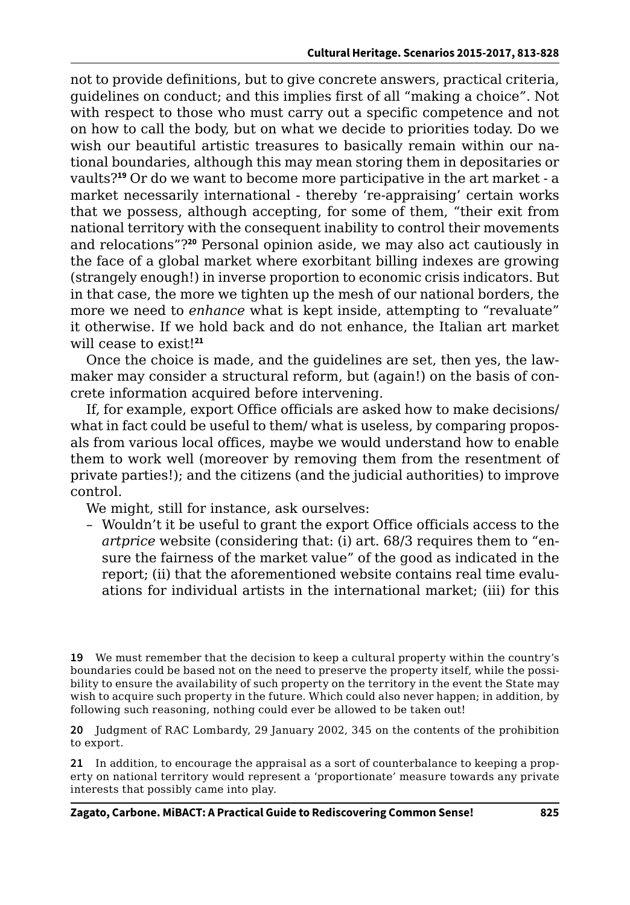not to provide definitions, but to give concrete answers, practical criteria, guidelines on conduct; and this implies first of all "making a choice*"*. Not with respect to those who must carry out a specific competence and not on how to call the body, but on what we decide to priorities today. Do we wish our beautiful artistic treasures to basically remain within our national boundaries, although this may mean storing them in depositaries or vaults?**<sup>19</sup>** Or do we want to become more participative in the art market - a market necessarily international - thereby 're-appraising' certain works that we possess, although accepting, for some of them, "their exit from national territory with the consequent inability to control their movements and relocations"?**<sup>20</sup>** Personal opinion aside, we may also act cautiously in the face of a global market where exorbitant billing indexes are growing (strangely enough!) in inverse proportion to economic crisis indicators. But in that case, the more we tighten up the mesh of our national borders, the more we need to *enhance* what is kept inside, attempting to "revaluate" it otherwise. If we hold back and do not enhance, the Italian art market will cease to exist!**<sup>21</sup>**

Once the choice is made, and the guidelines are set, then yes, the lawmaker may consider a structural reform, but (again!) on the basis of concrete information acquired before intervening.

If, for example, export Office officials are asked how to make decisions/ what in fact could be useful to them/ what is useless, by comparing proposals from various local offices, maybe we would understand how to enable them to work well (moreover by removing them from the resentment of private parties!); and the citizens (and the judicial authorities) to improve control.

We might, still for instance, ask ourselves:

– Wouldn't it be useful to grant the export Office officials access to the *artprice* website (considering that: (i) art. 68/3 requires them to "ensure the fairness of the market value" of the good as indicated in the report; (ii) that the aforementioned website contains real time evaluations for individual artists in the international market; (iii) for this

**19** We must remember that the decision to keep a cultural property within the country's boundaries could be based not on the need to preserve the property itself, while the possibility to ensure the availability of such property on the territory in the event the State may wish to acquire such property in the future. Which could also never happen; in addition, by following such reasoning, nothing could ever be allowed to be taken out!

**20** Judgment of RAC Lombardy, 29 January 2002, 345 on the contents of the prohibition to export.

**21** In addition, to encourage the appraisal as a sort of counterbalance to keeping a property on national territory would represent a 'proportionate*'* measure towards any private interests that possibly came into play.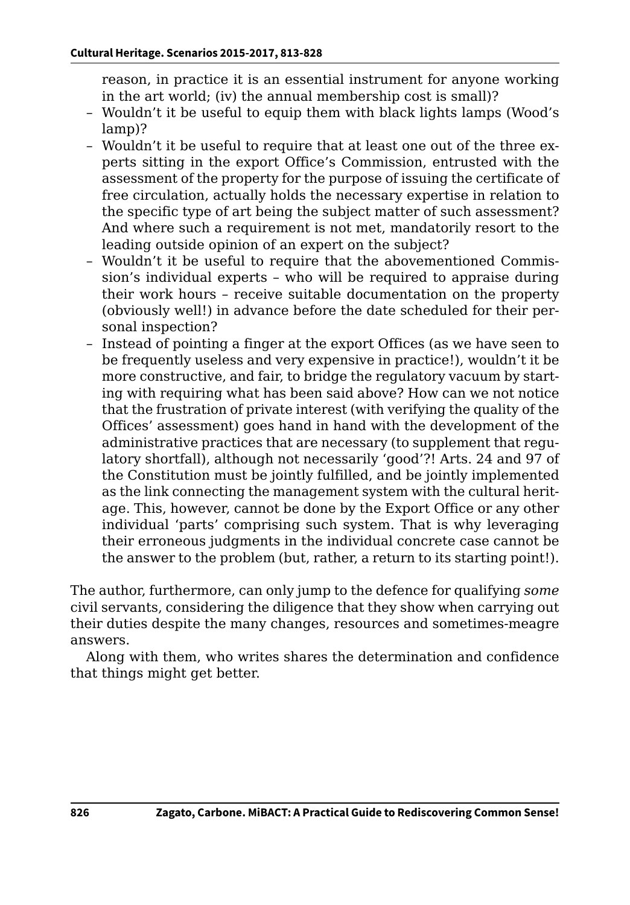reason, in practice it is an essential instrument for anyone working in the art world; (iv) the annual membership cost is small)?

- Wouldn't it be useful to equip them with black lights lamps (Wood's lamp)?
- Wouldn't it be useful to require that at least one out of the three experts sitting in the export Office's Commission, entrusted with the assessment of the property for the purpose of issuing the certificate of free circulation, actually holds the necessary expertise in relation to the specific type of art being the subject matter of such assessment? And where such a requirement is not met, mandatorily resort to the leading outside opinion of an expert on the subject?
- Wouldn't it be useful to require that the abovementioned Commission's individual experts – who will be required to appraise during their work hours – receive suitable documentation on the property (obviously well!) in advance before the date scheduled for their personal inspection?
- Instead of pointing a finger at the export Offices (as we have seen to be frequently useless and very expensive in practice!), wouldn't it be more constructive, and fair, to bridge the regulatory vacuum by starting with requiring what has been said above? How can we not notice that the frustration of private interest (with verifying the quality of the Offices' assessment) goes hand in hand with the development of the administrative practices that are necessary (to supplement that regulatory shortfall), although not necessarily 'good'?! Arts. 24 and 97 of the Constitution must be jointly fulfilled, and be jointly implemented as the link connecting the management system with the cultural heritage. This, however, cannot be done by the Export Office or any other individual 'parts' comprising such system. That is why leveraging their erroneous judgments in the individual concrete case cannot be the answer to the problem (but, rather, a return to its starting point!).

The author, furthermore, can only jump to the defence for qualifying *some* civil servants, considering the diligence that they show when carrying out their duties despite the many changes, resources and sometimes-meagre answers.

Along with them, who writes shares the determination and confidence that things might get better.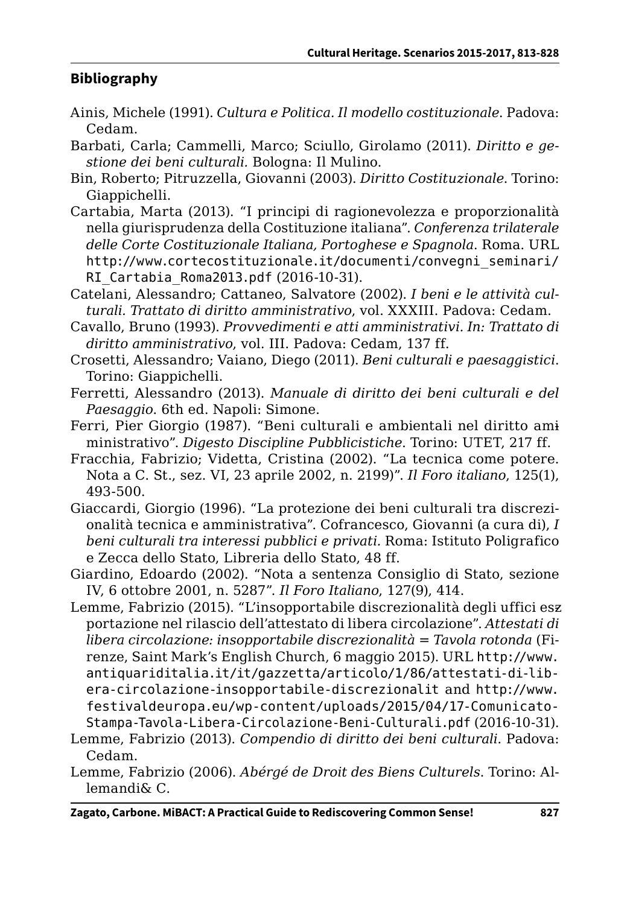#### **Bibliography**

- Ainis, Michele (1991). *Cultura e Politica. Il modello costituzionale*. Padova: Cedam.
- Barbati, Carla; Cammelli, Marco; Sciullo, Girolamo (2011). *Diritto e gestione dei beni culturali.* Bologna: Il Mulino.
- Bin, Roberto; Pitruzzella, Giovanni (2003). *Diritto Costituzionale*. Torino: Giappichelli.
- Cartabia, Marta (2013). "I principi di ragionevolezza e proporzionalità nella giurisprudenza della Costituzione italiana". *Conferenza trilaterale delle Corte Costituzionale Italiana, Portoghese e Spagnola*. Roma. URL [http://www.cortecostituzionale.it/documenti/convegni\\_seminari/](http://www.cortecostituzionale.it/documenti/convegni_seminari/RI_Cartabia_Roma2013.pdf) [RI\\_Cartabia\\_Roma2013.pdf](http://www.cortecostituzionale.it/documenti/convegni_seminari/RI_Cartabia_Roma2013.pdf) (2016-10-31).
- Catelani, Alessandro; Cattaneo, Salvatore (2002). *I beni e le attività culturali. Trattato di diritto amministrativo*, vol. XXXIII. Padova: Cedam.
- Cavallo, Bruno (1993). *Provvedimenti e atti amministrativi. In: Trattato di diritto amministrativo*, vol. III. Padova: Cedam, 137 ff.
- Crosetti, Alessandro; Vaiano, Diego (2011). *Beni culturali e paesaggistici*. Torino: Giappichelli.
- Ferretti, Alessandro (2013). *Manuale di diritto dei beni culturali e del Paesaggio*. 6th ed. Napoli: Simone.
- Ferri, Pier Giorgio (1987). "Beni culturali e ambientali nel diritto ami ministrativo". *Digesto Discipline Pubblicistiche*. Torino: UTET, 217 ff.
- Fracchia, Fabrizio; Videtta, Cristina (2002). "La tecnica come potere. Nota a C. St., sez. VI, 23 aprile 2002, n. 2199)". *Il Foro italiano*, 125(1), 493-500.
- Giaccardi, Giorgio (1996). "La protezione dei beni culturali tra discrezionalità tecnica e amministrativa". Cofrancesco, Giovanni (a cura di), *I beni culturali tra interessi pubblici e privati.* Roma: Istituto Poligrafico e Zecca dello Stato, Libreria dello Stato, 48 ff.
- Giardino, Edoardo (2002). "Nota a sentenza Consiglio di Stato, sezione IV, 6 ottobre 2001, n. 5287". *Il Foro Italiano*, 127(9), 414.
- Lemme, Fabrizio (2015). "L'insopportabile discrezionalità degli uffici esz portazione nel rilascio dell'attestato di libera circolazione". *Attestati di libera circolazione: insopportabile discrezionalità = Tavola rotonda* (Firenze, Saint Mark's English Church, 6 maggio 2015). URL [http://www.](http://www.antiquariditalia.it/it/gazzetta/articolo/1/86/attestati-di-libera-circolazione-insopportabile-discrezionalit) [antiquariditalia.it/it/gazzetta/articolo/1/86/attestati-di-lib](http://www.antiquariditalia.it/it/gazzetta/articolo/1/86/attestati-di-libera-circolazione-insopportabile-discrezionalit)[era-circolazione-insopportabile-discrezionalit](http://www.antiquariditalia.it/it/gazzetta/articolo/1/86/attestati-di-libera-circolazione-insopportabile-discrezionalit) and [http://www.](http://www.antiquariditalia.it/it/gazzetta/articolo/1/86/attestati-di-libera-circolazione-insopportabile-discrezionalit) [festivaldeuropa.eu/wp-content/uploads/2015/04/17-Comunicato-](http://www.antiquariditalia.it/it/gazzetta/articolo/1/86/attestati-di-libera-circolazione-insopportabile-discrezionalit)[Stampa-Tavola-Libera-Circolazione-Beni-Culturali.pdf](http://www.antiquariditalia.it/it/gazzetta/articolo/1/86/attestati-di-libera-circolazione-insopportabile-discrezionalit) (2016-10-31).
- Lemme, Fabrizio (2013). *Compendio di diritto dei beni culturali*. Padova: Cedam.
- Lemme, Fabrizio (2006). *Abérgé de Droit des Biens Culturels*. Torino: Allemandi& C.